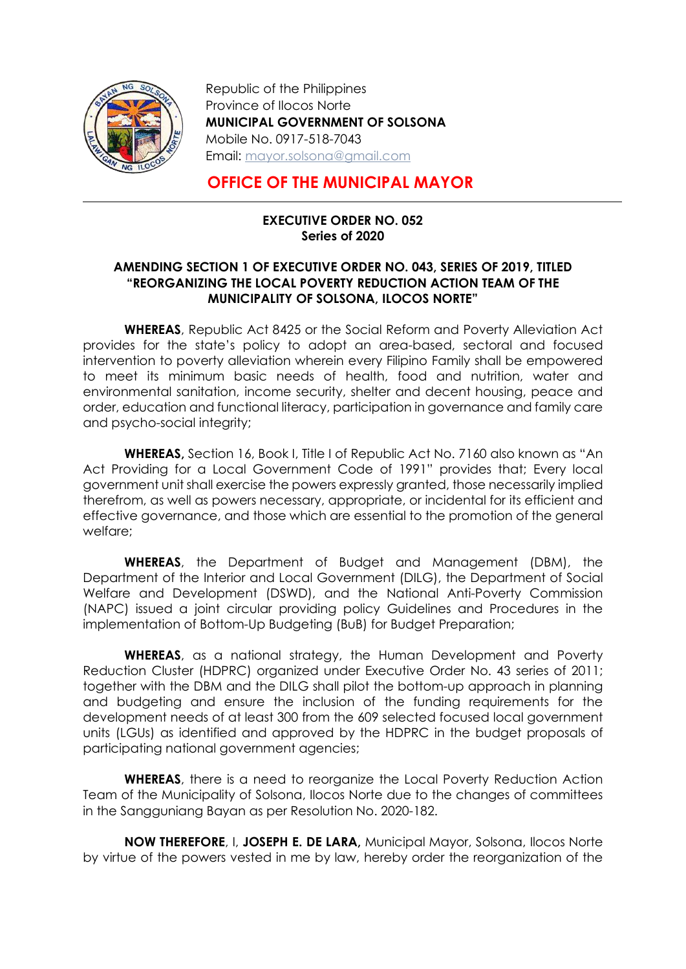

-

Republic of the Philippines Province of Ilocos Norte MUNICIPAL GOVERNMENT OF SOLSONA Mobile No. 0917-518-7043 Email: mayor.solsona@gmail.com

## OFFICE OF THE MUNICIPAL MAYOR

## EXECUTIVE ORDER NO. 052 Series of 2020

## AMENDING SECTION 1 OF EXECUTIVE ORDER NO. 043, SERIES OF 2019, TITLED "REORGANIZING THE LOCAL POVERTY REDUCTION ACTION TEAM OF THE MUNICIPALITY OF SOLSONA, ILOCOS NORTE"

WHEREAS, Republic Act 8425 or the Social Reform and Poverty Alleviation Act provides for the state's policy to adopt an area-based, sectoral and focused intervention to poverty alleviation wherein every Filipino Family shall be empowered to meet its minimum basic needs of health, food and nutrition, water and environmental sanitation, income security, shelter and decent housing, peace and order, education and functional literacy, participation in governance and family care and psycho-social integrity;

WHEREAS, Section 16, Book I, Title I of Republic Act No. 7160 also known as "An Act Providing for a Local Government Code of 1991" provides that; Every local government unit shall exercise the powers expressly granted, those necessarily implied therefrom, as well as powers necessary, appropriate, or incidental for its efficient and effective governance, and those which are essential to the promotion of the general welfare;

WHEREAS, the Department of Budget and Management (DBM), the Department of the Interior and Local Government (DILG), the Department of Social Welfare and Development (DSWD), and the National Anti-Poverty Commission (NAPC) issued a joint circular providing policy Guidelines and Procedures in the implementation of Bottom-Up Budgeting (BuB) for Budget Preparation;

WHEREAS, as a national strategy, the Human Development and Poverty Reduction Cluster (HDPRC) organized under Executive Order No. 43 series of 2011; together with the DBM and the DILG shall pilot the bottom-up approach in planning and budgeting and ensure the inclusion of the funding requirements for the development needs of at least 300 from the 609 selected focused local government units (LGUs) as identified and approved by the HDPRC in the budget proposals of participating national government agencies;

WHEREAS, there is a need to reorganize the Local Poverty Reduction Action Team of the Municipality of Solsona, Ilocos Norte due to the changes of committees in the Sangguniang Bayan as per Resolution No. 2020-182.

NOW THEREFORE, I, JOSEPH E. DE LARA, Municipal Mayor, Solsona, Ilocos Norte by virtue of the powers vested in me by law, hereby order the reorganization of the